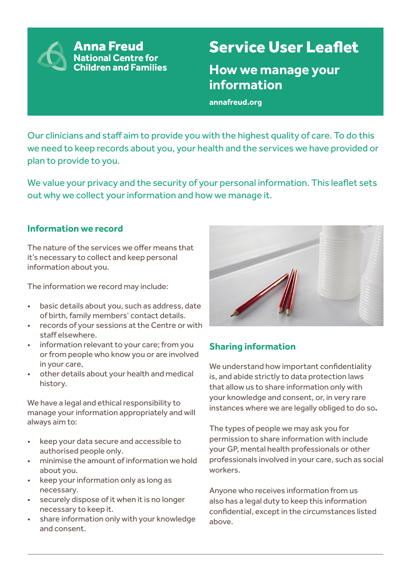**Anna Freud National Centre for Children and Families** 

# Service User Leaflet

**How we manage your information** 

**annafreud.org**

Our clinicians and staff aim to provide you with the highest quality of care. To do this we need to keep records about you, your health and the services we have provided or plan to provide to you.

We value your privacy and the security of your personal information. This leaflet sets out why we collect your information and how we manage it.

## **Information we record**

The nature of the services we offer means that it's necessary to collect and keep personal information about you.

The information we record may include:

- basic details about you, such as address, date of birth, family members' contact details.
- records of your sessions at the Centre or with staff elsewhere.
- information relevant to your care; from you or from people who know you or are involved in your care,
- other details about your health and medical history.

We have a legal and ethical responsibility to manage your information appropriately and will always aim to:

- keep your data secure and accessible to authorised people only.
- minimise the amount of information we hold about you.
- keep your information only as long as necessary.
- securely dispose of it when it is no longer necessary to keep it.
- share information only with your knowledge and consent.



# **Sharing information**

We understand how important confidentiality is, and abide strictly to data protection laws that allow us to share information only with your knowledge and consent, or, in very rare instances where we are legally obliged to do so**.**

The types of people we may ask you for permission to share information with include your GP, mental health professionals or other professionals involved in your care, such as social workers.

Anyone who receives information from us also has a legal duty to keep this information confidential, except in the circumstances listed above.